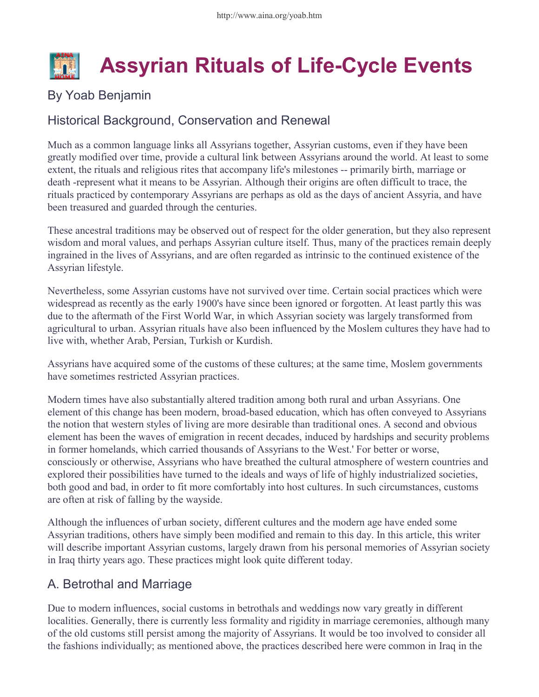

## By Yoab Benjamin

## Historical Background, Conservation and Renewal

Much as a common language links all Assyrians together, Assyrian customs, even if they have been greatly modified over time, provide a cultural link between Assyrians around the world. At least to some extent, the rituals and religious rites that accompany life's milestones -- primarily birth, marriage or death -represent what it means to be Assyrian. Although their origins are often difficult to trace, the rituals practiced by contemporary Assyrians are perhaps as old as the days of ancient Assyria, and have been treasured and guarded through the centuries.

These ancestral traditions may be observed out of respect for the older generation, but they also represent wisdom and moral values, and perhaps Assyrian culture itself. Thus, many of the practices remain deeply ingrained in the lives of Assyrians, and are often regarded as intrinsic to the continued existence of the Assyrian lifestyle.

Nevertheless, some Assyrian customs have not survived over time. Certain social practices which were widespread as recently as the early 1900's have since been ignored or forgotten. At least partly this was due to the aftermath of the First World War, in which Assyrian society was largely transformed from agricultural to urban. Assyrian rituals have also been influenced by the Moslem cultures they have had to live with, whether Arab, Persian, Turkish or Kurdish.

Assyrians have acquired some of the customs of these cultures; at the same time, Moslem governments have sometimes restricted Assyrian practices.

Modern times have also substantially altered tradition among both rural and urban Assyrians. One element of this change has been modern, broad-based education, which has often conveyed to Assyrians the notion that western styles of living are more desirable than traditional ones. A second and obvious element has been the waves of emigration in recent decades, induced by hardships and security problems in former homelands, which carried thousands of Assyrians to the West.' For better or worse, consciously or otherwise, Assyrians who have breathed the cultural atmosphere of western countries and explored their possibilities have turned to the ideals and ways of life of highly industrialized societies, both good and bad, in order to fit more comfortably into host cultures. In such circumstances, customs are often at risk of falling by the wayside.

Although the influences of urban society, different cultures and the modern age have ended some Assyrian traditions, others have simply been modified and remain to this day. In this article, this writer will describe important Assyrian customs, largely drawn from his personal memories of Assyrian society in Iraq thirty years ago. These practices might look quite different today.

#### A. Betrothal and Marriage

Due to modern influences, social customs in betrothals and weddings now vary greatly in different localities. Generally, there is currently less formality and rigidity in marriage ceremonies, although many of the old customs still persist among the majority of Assyrians. It would be too involved to consider all the fashions individually; as mentioned above, the practices described here were common in Iraq in the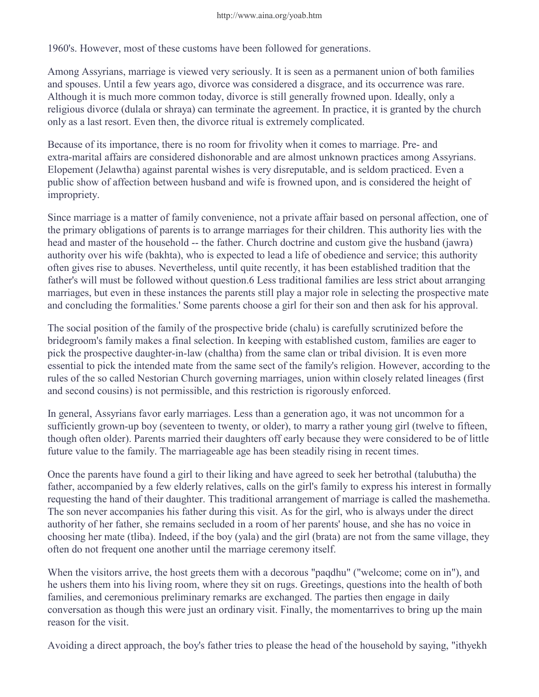1960's. However, most of these customs have been followed for generations.

Among Assyrians, marriage is viewed very seriously. It is seen as a permanent union of both families and spouses. Until a few years ago, divorce was considered a disgrace, and its occurrence was rare. Although it is much more common today, divorce is still generally frowned upon. Ideally, only a religious divorce (dulala or shraya) can terminate the agreement. In practice, it is granted by the church only as a last resort. Even then, the divorce ritual is extremely complicated.

Because of its importance, there is no room for frivolity when it comes to marriage. Pre- and extra-marital affairs are considered dishonorable and are almost unknown practices among Assyrians. Elopement (Jelawtha) against parental wishes is very disreputable, and is seldom practiced. Even a public show of affection between husband and wife is frowned upon, and is considered the height of impropriety.

Since marriage is a matter of family convenience, not a private affair based on personal affection, one of the primary obligations of parents is to arrange marriages for their children. This authority lies with the head and master of the household -- the father. Church doctrine and custom give the husband (jawra) authority over his wife (bakhta), who is expected to lead a life of obedience and service; this authority often gives rise to abuses. Nevertheless, until quite recently, it has been established tradition that the father's will must be followed without question.6 Less traditional families are less strict about arranging marriages, but even in these instances the parents still play a major role in selecting the prospective mate and concluding the formalities.' Some parents choose a girl for their son and then ask for his approval.

The social position of the family of the prospective bride (chalu) is carefully scrutinized before the bridegroom's family makes a final selection. In keeping with established custom, families are eager to pick the prospective daughter-in-law (chaltha) from the same clan or tribal division. It is even more essential to pick the intended mate from the same sect of the family's religion. However, according to the rules of the so called Nestorian Church governing marriages, union within closely related lineages (first and second cousins) is not permissible, and this restriction is rigorously enforced.

In general, Assyrians favor early marriages. Less than a generation ago, it was not uncommon for a sufficiently grown-up boy (seventeen to twenty, or older), to marry a rather young girl (twelve to fifteen, though often older). Parents married their daughters off early because they were considered to be of little future value to the family. The marriageable age has been steadily rising in recent times.

Once the parents have found a girl to their liking and have agreed to seek her betrothal (talubutha) the father, accompanied by a few elderly relatives, calls on the girl's family to express his interest in formally requesting the hand of their daughter. This traditional arrangement of marriage is called the mashemetha. The son never accompanies his father during this visit. As for the girl, who is always under the direct authority of her father, she remains secluded in a room of her parents' house, and she has no voice in choosing her mate (tliba). Indeed, if the boy (yala) and the girl (brata) are not from the same village, they often do not frequent one another until the marriage ceremony itself.

When the visitors arrive, the host greets them with a decorous "paqdhu" ("welcome; come on in"), and he ushers them into his living room, where they sit on rugs. Greetings, questions into the health of both families, and ceremonious preliminary remarks are exchanged. The parties then engage in daily conversation as though this were just an ordinary visit. Finally, the momentarrives to bring up the main reason for the visit.

Avoiding a direct approach, the boy's father tries to please the head of the household by saying, "ithyekh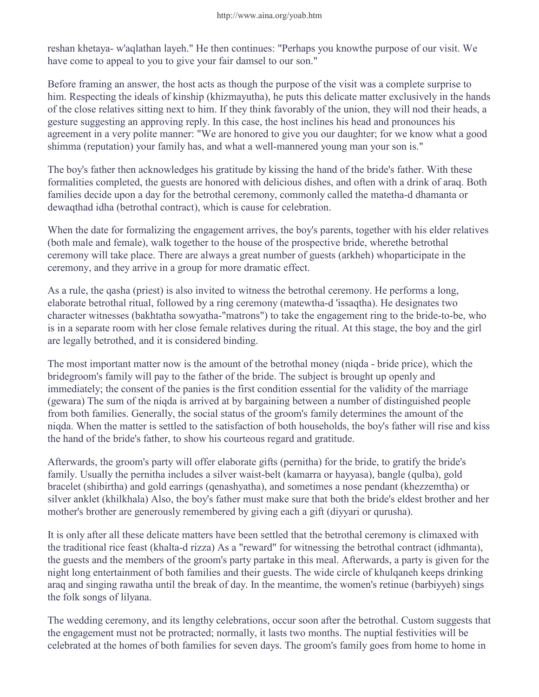reshan khetaya- w'aqlathan layeh." He then continues: "Perhaps you knowthe purpose of our visit. We have come to appeal to you to give your fair damsel to our son."

Before framing an answer, the host acts as though the purpose of the visit was a complete surprise to him. Respecting the ideals of kinship (khizmayutha), he puts this delicate matter exclusively in the hands of the close relatives sitting next to him. If they think favorably of the union, they will nod their heads, a gesture suggesting an approving reply. In this case, the host inclines his head and pronounces his agreement in a very polite manner: "We are honored to give you our daughter; for we know what a good shimma (reputation) your family has, and what a well-mannered young man your son is."

The boy's father then acknowledges his gratitude by kissing the hand of the bride's father. With these formalities completed, the guests are honored with delicious dishes, and often with a drink of araq. Both families decide upon a day for the betrothal ceremony, commonly called the matetha-d dhamanta or dewaqthad idha (betrothal contract), which is cause for celebration.

When the date for formalizing the engagement arrives, the boy's parents, together with his elder relatives (both male and female), walk together to the house of the prospective bride, wherethe betrothal ceremony will take place. There are always a great number of guests (arkheh) whoparticipate in the ceremony, and they arrive in a group for more dramatic effect.

As a rule, the qasha (priest) is also invited to witness the betrothal ceremony. He performs a long, elaborate betrothal ritual, followed by a ring ceremony (matewtha-d 'issaqtha). He designates two character witnesses (bakhtatha sowyatha-"matrons") to take the engagement ring to the bride-to-be, who is in a separate room with her close female relatives during the ritual. At this stage, the boy and the girl are legally betrothed, and it is considered binding.

The most important matter now is the amount of the betrothal money (niqda - bride price), which the bridegroom's family will pay to the father of the bride. The subject is brought up openly and immediately; the consent of the panies is the first condition essential for the validity of the marriage (gewara) The sum of the niqda is arrived at by bargaining between a number of distinguished people from both families. Generally, the social status of the groom's family determines the amount of the niqda. When the matter is settled to the satisfaction of both households, the boy's father will rise and kiss the hand of the bride's father, to show his courteous regard and gratitude.

Afterwards, the groom's party will offer elaborate gifts (pernitha) for the bride, to gratify the bride's family. Usually the pernitha includes a silver waist-belt (kamarra or hayyasa), bangle (qulba), gold bracelet (shibirtha) and gold earrings (qenashyatha), and sometimes a nose pendant (khezzemtha) or silver anklet (khilkhala) Also, the boy's father must make sure that both the bride's eldest brother and her mother's brother are generously remembered by giving each a gift (diyyari or qurusha).

It is only after all these delicate matters have been settled that the betrothal ceremony is climaxed with the traditional rice feast (khalta-d rizza) As a "reward" for witnessing the betrothal contract (idhmanta), the guests and the members of the groom's party partake in this meal. Afterwards, a party is given for the night long entertainment of both families and their guests. The wide circle of khulqaneh keeps drinking araq and singing rawatha until the break of day. In the meantime, the women's retinue (barbiyyeh) sings the folk songs of lilyana.

The wedding ceremony, and its lengthy celebrations, occur soon after the betrothal. Custom suggests that the engagement must not be protracted; normally, it lasts two months. The nuptial festivities will be celebrated at the homes of both families for seven days. The groom's family goes from home to home in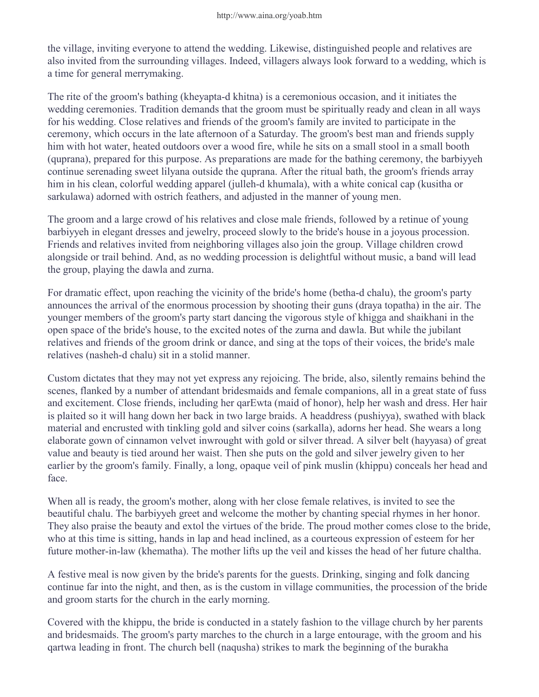the village, inviting everyone to attend the wedding. Likewise, distinguished people and relatives are also invited from the surrounding villages. Indeed, villagers always look forward to a wedding, which is a time for general merrymaking.

The rite of the groom's bathing (kheyapta-d khitna) is a ceremonious occasion, and it initiates the wedding ceremonies. Tradition demands that the groom must be spiritually ready and clean in all ways for his wedding. Close relatives and friends of the groom's family are invited to participate in the ceremony, which occurs in the late afternoon of a Saturday. The groom's best man and friends supply him with hot water, heated outdoors over a wood fire, while he sits on a small stool in a small booth (quprana), prepared for this purpose. As preparations are made for the bathing ceremony, the barbiyyeh continue serenading sweet lilyana outside the quprana. After the ritual bath, the groom's friends array him in his clean, colorful wedding apparel (julleh-d khumala), with a white conical cap (kusitha or sarkulawa) adorned with ostrich feathers, and adjusted in the manner of young men.

The groom and a large crowd of his relatives and close male friends, followed by a retinue of young barbiyyeh in elegant dresses and jewelry, proceed slowly to the bride's house in a joyous procession. Friends and relatives invited from neighboring villages also join the group. Village children crowd alongside or trail behind. And, as no wedding procession is delightful without music, a band will lead the group, playing the dawla and zurna.

For dramatic effect, upon reaching the vicinity of the bride's home (betha-d chalu), the groom's party announces the arrival of the enormous procession by shooting their guns (draya topatha) in the air. The younger members of the groom's party start dancing the vigorous style of khigga and shaikhani in the open space of the bride's house, to the excited notes of the zurna and dawla. But while the jubilant relatives and friends of the groom drink or dance, and sing at the tops of their voices, the bride's male relatives (nasheh-d chalu) sit in a stolid manner.

Custom dictates that they may not yet express any rejoicing. The bride, also, silently remains behind the scenes, flanked by a number of attendant bridesmaids and female companions, all in a great state of fuss and excitement. Close friends, including her qarEwta (maid of honor), help her wash and dress. Her hair is plaited so it will hang down her back in two large braids. A headdress (pushiyya), swathed with black material and encrusted with tinkling gold and silver coins (sarkalla), adorns her head. She wears a long elaborate gown of cinnamon velvet inwrought with gold or silver thread. A silver belt (hayyasa) of great value and beauty is tied around her waist. Then she puts on the gold and silver jewelry given to her earlier by the groom's family. Finally, a long, opaque veil of pink muslin (khippu) conceals her head and face.

When all is ready, the groom's mother, along with her close female relatives, is invited to see the beautiful chalu. The barbiyyeh greet and welcome the mother by chanting special rhymes in her honor. They also praise the beauty and extol the virtues of the bride. The proud mother comes close to the bride, who at this time is sitting, hands in lap and head inclined, as a courteous expression of esteem for her future mother-in-law (khematha). The mother lifts up the veil and kisses the head of her future chaltha.

A festive meal is now given by the bride's parents for the guests. Drinking, singing and folk dancing continue far into the night, and then, as is the custom in village communities, the procession of the bride and groom starts for the church in the early morning.

Covered with the khippu, the bride is conducted in a stately fashion to the village church by her parents and bridesmaids. The groom's party marches to the church in a large entourage, with the groom and his qartwa leading in front. The church bell (naqusha) strikes to mark the beginning of the burakha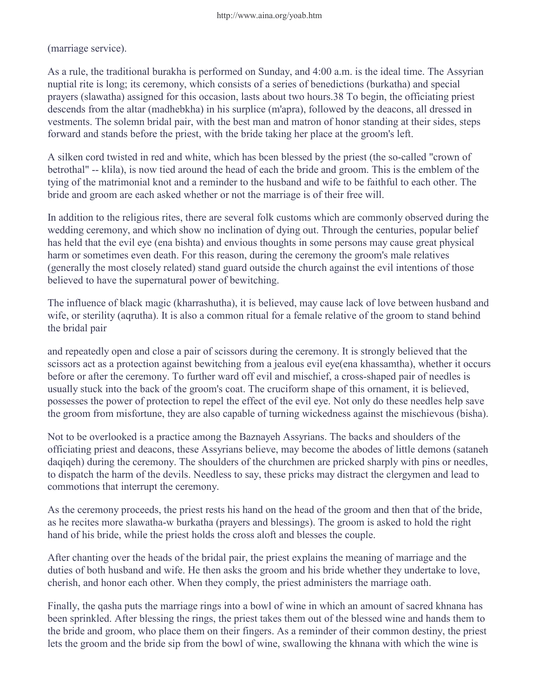(marriage service).

As a rule, the traditional burakha is performed on Sunday, and 4:00 a.m. is the ideal time. The Assyrian nuptial rite is long; its ceremony, which consists of a series of benedictions (burkatha) and special prayers (slawatha) assigned for this occasion, lasts about two hours.38 To begin, the officiating priest descends from the altar (madhebkha) in his surplice (m'apra), followed by the deacons, all dressed in vestments. The solemn bridal pair, with the best man and matron of honor standing at their sides, steps forward and stands before the priest, with the bride taking her place at the groom's left.

A silken cord twisted in red and white, which has bcen blessed by the priest (the so-called "crown of betrothal" -- klila), is now tied around the head of each the bride and groom. This is the emblem of the tying of the matrimonial knot and a reminder to the husband and wife to be faithful to each other. The bride and groom are each asked whether or not the marriage is of their free will.

In addition to the religious rites, there are several folk customs which are commonly observed during the wedding ceremony, and which show no inclination of dying out. Through the centuries, popular belief has held that the evil eye (ena bishta) and envious thoughts in some persons may cause great physical harm or sometimes even death. For this reason, during the ceremony the groom's male relatives (generally the most closely related) stand guard outside the church against the evil intentions of those believed to have the supernatural power of bewitching.

The influence of black magic (kharrashutha), it is believed, may cause lack of love between husband and wife, or sterility (aqrutha). It is also a common ritual for a female relative of the groom to stand behind the bridal pair

and repeatedly open and close a pair of scissors during the ceremony. It is strongly believed that the scissors act as a protection against bewitching from a jealous evil eye(ena khassamtha), whether it occurs before or after the ceremony. To further ward off evil and mischief, a cross-shaped pair of needles is usually stuck into the back of the groom's coat. The cruciform shape of this ornament, it is believed, possesses the power of protection to repel the effect of the evil eye. Not only do these needles help save the groom from misfortune, they are also capable of turning wickedness against the mischievous (bisha).

Not to be overlooked is a practice among the Baznayeh Assyrians. The backs and shoulders of the officiating priest and deacons, these Assyrians believe, may become the abodes of little demons (sataneh daqiqeh) during the ceremony. The shoulders of the churchmen are pricked sharply with pins or needles, to dispatch the harm of the devils. Needless to say, these pricks may distract the clergymen and lead to commotions that interrupt the ceremony.

As the ceremony proceeds, the priest rests his hand on the head of the groom and then that of the bride, as he recites more slawatha-w burkatha (prayers and blessings). The groom is asked to hold the right hand of his bride, while the priest holds the cross aloft and blesses the couple.

After chanting over the heads of the bridal pair, the priest explains the meaning of marriage and the duties of both husband and wife. He then asks the groom and his bride whether they undertake to love, cherish, and honor each other. When they comply, the priest administers the marriage oath.

Finally, the qasha puts the marriage rings into a bowl of wine in which an amount of sacred khnana has been sprinkled. After blessing the rings, the priest takes them out of the blessed wine and hands them to the bride and groom, who place them on their fingers. As a reminder of their common destiny, the priest lets the groom and the bride sip from the bowl of wine, swallowing the khnana with which the wine is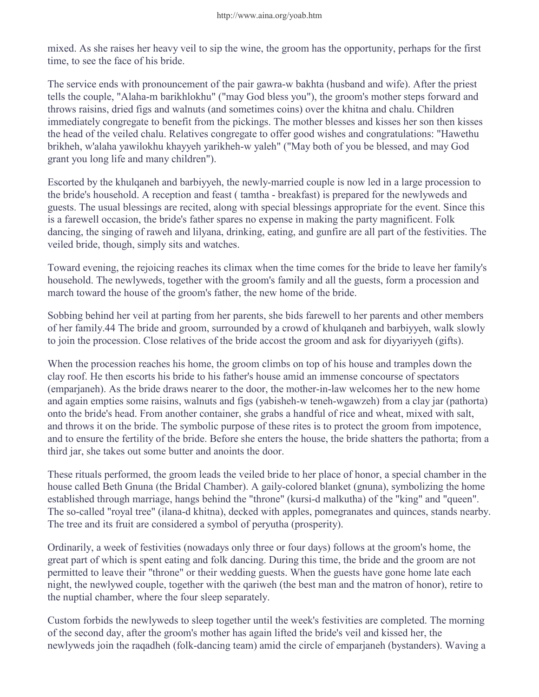mixed. As she raises her heavy veil to sip the wine, the groom has the opportunity, perhaps for the first time, to see the face of his bride.

The service ends with pronouncement of the pair gawra-w bakhta (husband and wife). After the priest tells the couple, "Alaha-m barikhlokhu" ("may God bless you"), the groom's mother steps forward and throws raisins, dried figs and walnuts (and sometimes coins) over the khitna and chalu. Children immediately congregate to benefit from the pickings. The mother blesses and kisses her son then kisses the head of the veiled chalu. Relatives congregate to offer good wishes and congratulations: "Hawethu brikheh, w'alaha yawilokhu khayyeh yarikheh-w yaleh" ("May both of you be blessed, and may God grant you long life and many children").

Escorted by the khulqaneh and barbiyyeh, the newly-married couple is now led in a large procession to the bride's household. A reception and feast ( tamtha - breakfast) is prepared for the newlyweds and guests. The usual blessings are recited, along with special blessings appropriate for the event. Since this is a farewell occasion, the bride's father spares no expense in making the party magnificent. Folk dancing, the singing of raweh and lilyana, drinking, eating, and gunfire are all part of the festivities. The veiled bride, though, simply sits and watches.

Toward evening, the rejoicing reaches its climax when the time comes for the bride to leave her family's household. The newlyweds, together with the groom's family and all the guests, form a procession and march toward the house of the groom's father, the new home of the bride.

Sobbing behind her veil at parting from her parents, she bids farewell to her parents and other members of her family.44 The bride and groom, surrounded by a crowd of khulqaneh and barbiyyeh, walk slowly to join the procession. Close relatives of the bride accost the groom and ask for diyyariyyeh (gifts).

When the procession reaches his home, the groom climbs on top of his house and tramples down the clay roof. He then escorts his bride to his father's house amid an immense concourse of spectators (emparjaneh). As the bride draws nearer to the door, the mother-in-law welcomes her to the new home and again empties some raisins, walnuts and figs (yabisheh-w teneh-wgawzeh) from a clay jar (pathorta) onto the bride's head. From another container, she grabs a handful of rice and wheat, mixed with salt, and throws it on the bride. The symbolic purpose of these rites is to protect the groom from impotence, and to ensure the fertility of the bride. Before she enters the house, the bride shatters the pathorta; from a third jar, she takes out some butter and anoints the door.

These rituals performed, the groom leads the veiled bride to her place of honor, a special chamber in the house called Beth Gnuna (the Bridal Chamber). A gaily-colored blanket (gnuna), symbolizing the home established through marriage, hangs behind the "throne" (kursi-d malkutha) of the "king" and "queen". The so-called "royal tree" (ilana-d khitna), decked with apples, pomegranates and quinces, stands nearby. The tree and its fruit are considered a symbol of peryutha (prosperity).

Ordinarily, a week of festivities (nowadays only three or four days) follows at the groom's home, the great part of which is spent eating and folk dancing. During this time, the bride and the groom are not permitted to leave their "throne" or their wedding guests. When the guests have gone home late each night, the newlywed couple, together with the qariweh (the best man and the matron of honor), retire to the nuptial chamber, where the four sleep separately.

Custom forbids the newlyweds to sleep together until the week's festivities are completed. The morning of the second day, after the groom's mother has again lifted the bride's veil and kissed her, the newlyweds join the raqadheh (folk-dancing team) amid the circle of emparjaneh (bystanders). Waving a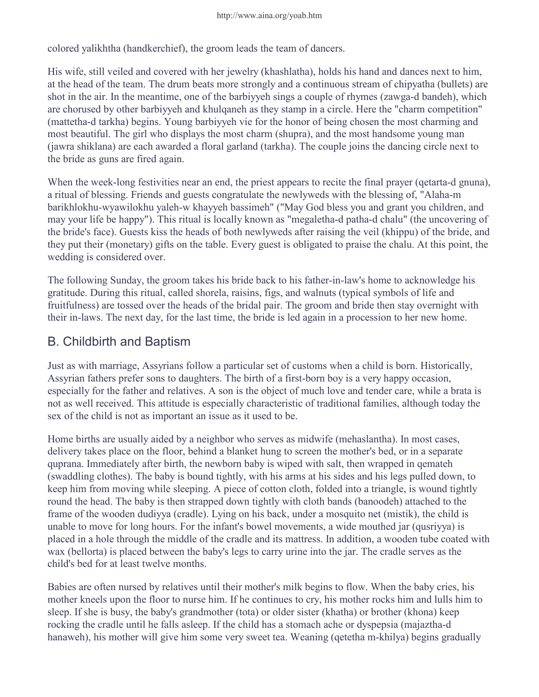colored yalikhtha (handkerchief), the groom leads the team of dancers.

His wife, still veiled and covered with her jewelry (khashlatha), holds his hand and dances next to him, at the head of the team. The drum beats more strongly and a continuous stream of chipyatha (bullets) are shot in the air. In the meantime, one of the barbiyyeh sings a couple of rhymes (zawga-d bandeh), which are chorused by other barbiyyeh and khulqaneh as they stamp in a circle. Here the "charm competition" (mattetha-d tarkha) begins. Young barbiyyeh vie for the honor of being chosen the most charming and most beautiful. The girl who displays the most charm (shupra), and the most handsome young man (jawra shiklana) are each awarded a floral garland (tarkha). The couple joins the dancing circle next to the bride as guns are fired again.

When the week-long festivities near an end, the priest appears to recite the final prayer (qetarta-d gnuna), a ritual of blessing. Friends and guests congratulate the newlyweds with the blessing of, "Alaha-m barikhlokhu-wyawilokhu yaleh-w khayyeh bassimeh" ("May God bless you and grant you children, and may your life be happy"). This ritual is locally known as "megaletha-d patha-d chalu" (the uncovering of the bride's face). Guests kiss the heads of both newlyweds after raising the veil (khippu) of the bride, and they put their (monetary) gifts on the table. Every guest is obligated to praise the chalu. At this point, the wedding is considered over.

The following Sunday, the groom takes his bride back to his father-in-law's home to acknowledge his gratitude. During this ritual, called shorela, raisins, figs, and walnuts (typical symbols of life and fruitfulness) are tossed over the heads of the bridal pair. The groom and bride then stay overnight with their in-laws. The next day, for the last time, the bride is led again in a procession to her new home.

### B. Childbirth and Baptism

Just as with marriage, Assyrians follow a particular set of customs when a child is born. Historically, Assyrian fathers prefer sons to daughters. The birth of a first-born boy is a very happy occasion, especially for the father and relatives. A son is the object of much love and tender care, while a brata is not as well received. This attitude is especially characteristic of traditional families, although today the sex of the child is not as important an issue as it used to be.

Home births are usually aided by a neighbor who serves as midwife (mehaslantha). In most cases, delivery takes place on the floor, behind a blanket hung to screen the mother's bed, or in a separate quprana. Immediately after birth, the newborn baby is wiped with salt, then wrapped in qemateh (swaddling clothes). The baby is bound tightly, with his arms at his sides and his legs pulled down, to keep him from moving while sleeping. A piece of cotton cloth, folded into a triangle, is wound tightly round the head. The baby is then strapped down tightly with cloth bands (banoodeh) attached to the frame of the wooden dudiyya (cradle). Lying on his back, under a mosquito net (mistik), the child is unable to move for long hours. For the infant's bowel movements, a wide mouthed jar (qusriyya) is placed in a hole through the middle of the cradle and its mattress. In addition, a wooden tube coated with wax (bellorta) is placed between the baby's legs to carry urine into the jar. The cradle serves as the child's bed for at least twelve months.

Babies are often nursed by relatives until their mother's milk begins to flow. When the baby cries, his mother kneels upon the floor to nurse him. If he continues to cry, his mother rocks him and lulls him to sleep. If she is busy, the baby's grandmother (tota) or older sister (khatha) or brother (khona) keep rocking the cradle until he falls asleep. If the child has a stomach ache or dyspepsia (majaztha-d hanaweh), his mother will give him some very sweet tea. Weaning (qetetha m-khilya) begins gradually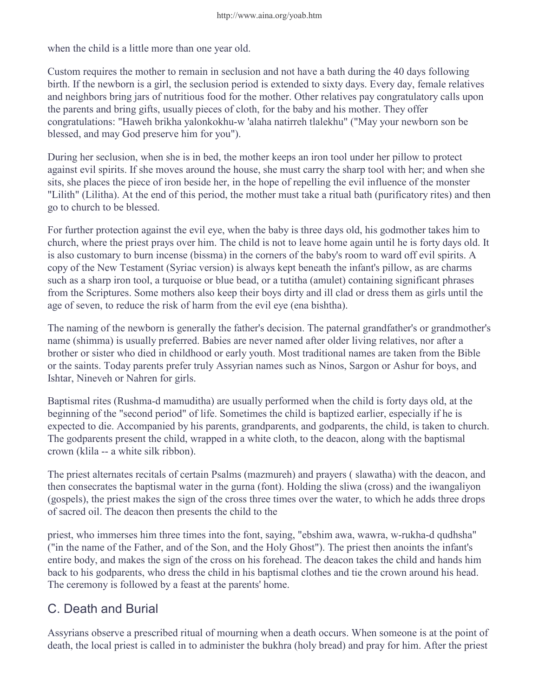when the child is a little more than one year old.

Custom requires the mother to remain in seclusion and not have a bath during the 40 days following birth. If the newborn is a girl, the seclusion period is extended to sixty days. Every day, female relatives and neighbors bring jars of nutritious food for the mother. Other relatives pay congratulatory calls upon the parents and bring gifts, usually pieces of cloth, for the baby and his mother. They offer congratulations: "Haweh brikha yalonkokhu-w 'alaha natirreh tlalekhu" ("May your newborn son be blessed, and may God preserve him for you").

During her seclusion, when she is in bed, the mother keeps an iron tool under her pillow to protect against evil spirits. If she moves around the house, she must carry the sharp tool with her; and when she sits, she places the piece of iron beside her, in the hope of repelling the evil influence of the monster "Lilith" (Lilitha). At the end of this period, the mother must take a ritual bath (purificatory rites) and then go to church to be blessed.

For further protection against the evil eye, when the baby is three days old, his godmother takes him to church, where the priest prays over him. The child is not to leave home again until he is forty days old. It is also customary to burn incense (bissma) in the corners of the baby's room to ward off evil spirits. A copy of the New Testament (Syriac version) is always kept beneath the infant's pillow, as are charms such as a sharp iron tool, a turquoise or blue bead, or a tutitha (amulet) containing significant phrases from the Scriptures. Some mothers also keep their boys dirty and ill clad or dress them as girls until the age of seven, to reduce the risk of harm from the evil eye (ena bishtha).

The naming of the newborn is generally the father's decision. The paternal grandfather's or grandmother's name (shimma) is usually preferred. Babies are never named after older living relatives, nor after a brother or sister who died in childhood or early youth. Most traditional names are taken from the Bible or the saints. Today parents prefer truly Assyrian names such as Ninos, Sargon or Ashur for boys, and Ishtar, Nineveh or Nahren for girls.

Baptismal rites (Rushma-d mamuditha) are usually performed when the child is forty days old, at the beginning of the "second period" of life. Sometimes the child is baptized earlier, especially if he is expected to die. Accompanied by his parents, grandparents, and godparents, the child, is taken to church. The godparents present the child, wrapped in a white cloth, to the deacon, along with the baptismal crown (klila -- a white silk ribbon).

The priest alternates recitals of certain Psalms (mazmureh) and prayers ( slawatha) with the deacon, and then consecrates the baptismal water in the gurna (font). Holding the sliwa (cross) and the iwangaliyon (gospels), the priest makes the sign of the cross three times over the water, to which he adds three drops of sacred oil. The deacon then presents the child to the

priest, who immerses him three times into the font, saying, "ebshim awa, wawra, w-rukha-d qudhsha" ("in the name of the Father, and of the Son, and the Holy Ghost"). The priest then anoints the infant's entire body, and makes the sign of the cross on his forehead. The deacon takes the child and hands him back to his godparents, who dress the child in his baptismal clothes and tie the crown around his head. The ceremony is followed by a feast at the parents' home.

#### C. Death and Burial

Assyrians observe a prescribed ritual of mourning when a death occurs. When someone is at the point of death, the local priest is called in to administer the bukhra (holy bread) and pray for him. After the priest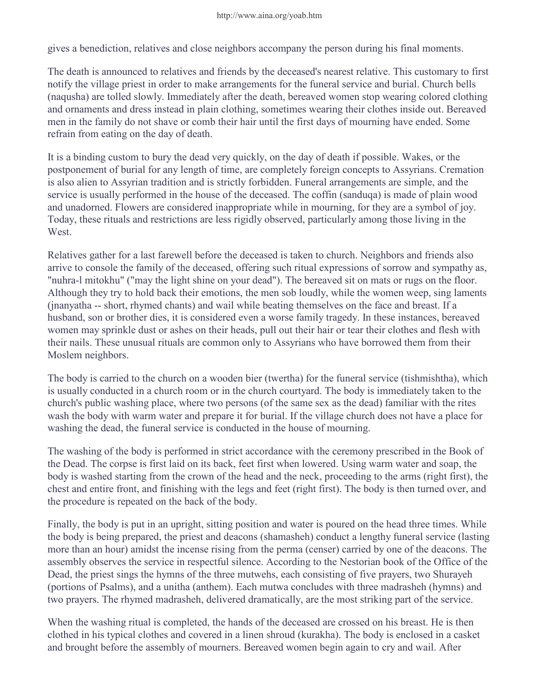gives a benediction, relatives and close neighbors accompany the person during his final moments.

The death is announced to relatives and friends by the deceased's nearest relative. This customary to first notify the village priest in order to make arrangements for the funeral service and burial. Church bells (naqusha) are tolled slowly. Immediately after the death, bereaved women stop wearing colored clothing and ornaments and dress instead in plain clothing, sometimes wearing their clothes inside out. Bereaved men in the family do not shave or comb their hair until the first days of mourning have ended. Some refrain from eating on the day of death.

It is a binding custom to bury the dead very quickly, on the day of death if possible. Wakes, or the postponement of burial for any length of time, are completely foreign concepts to Assyrians. Cremation is also alien to Assyrian tradition and is strictly forbidden. Funeral arrangements are simple, and the service is usually performed in the house of the deceased. The coffin (sanduqa) is made of plain wood and unadorned. Flowers are considered inappropriate while in mourning, for they are a symbol of joy. Today, these rituals and restrictions are less rigidly observed, particularly among those living in the West.

Relatives gather for a last farewell before the deceased is taken to church. Neighbors and friends also arrive to console the family of the deceased, offering such ritual expressions of sorrow and sympathy as, "nuhra-l mitokhu" ("may the light shine on your dead"). The bereaved sit on mats or rugs on the floor. Although they try to hold back their emotions, the men sob loudly, while the women weep, sing laments (jnanyatha -- short, rhymed chants) and wail while beating themselves on the face and breast. If a husband, son or brother dies, it is considered even a worse family tragedy. In these instances, bereaved women may sprinkle dust or ashes on their heads, pull out their hair or tear their clothes and flesh with their nails. These unusual rituals are common only to Assyrians who have borrowed them from their Moslem neighbors.

The body is carried to the church on a wooden bier (twertha) for the funeral service (tishmishtha), which is usually conducted in a church room or in the church courtyard. The body is immediately taken to the church's public washing place, where two persons (of the same sex as the dead) familiar with the rites wash the body with warm water and prepare it for burial. If the village church does not have a place for washing the dead, the funeral service is conducted in the house of mourning.

The washing of the body is performed in strict accordance with the ceremony prescribed in the Book of the Dead. The corpse is first laid on its back, feet first when lowered. Using warm water and soap, the body is washed starting from the crown of the head and the neck, proceeding to the arms (right first), the chest and entire front, and finishing with the legs and feet (right first). The body is then turned over, and the procedure is repeated on the back of the body.

Finally, the body is put in an upright, sitting position and water is poured on the head three times. While the body is being prepared, the priest and deacons (shamasheh) conduct a lengthy funeral service (lasting more than an hour) amidst the incense rising from the perma (censer) carried by one of the deacons. The assembly observes the service in respectful silence. According to the Nestorian book of the Office of the Dead, the priest sings the hymns of the three mutwehs, each consisting of five prayers, two Shurayeh (portions of Psalms), and a unitha (anthem). Each mutwa concludes with three madrasheh (hymns) and two prayers. The rhymed madrasheh, delivered dramatically, are the most striking part of the service.

When the washing ritual is completed, the hands of the deceased are crossed on his breast. He is then clothed in his typical clothes and covered in a linen shroud (kurakha). The body is enclosed in a casket and brought before the assembly of mourners. Bereaved women begin again to cry and wail. After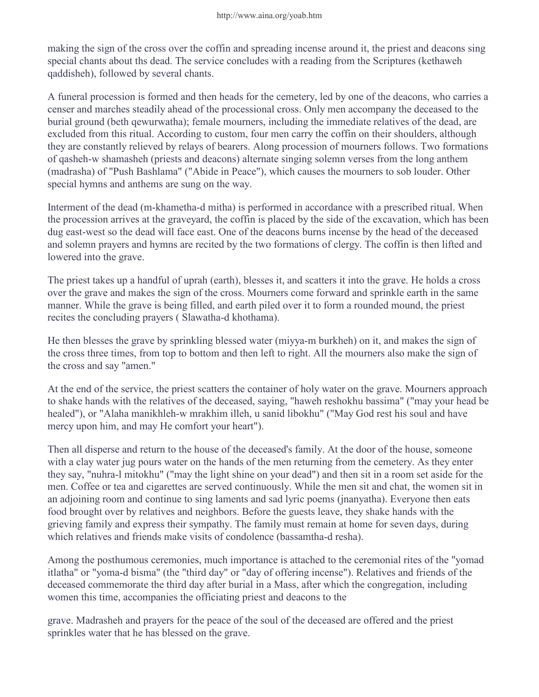making the sign of the cross over the coffin and spreading incense around it, the priest and deacons sing special chants about ths dead. The service concludes with a reading from the Scriptures (kethaweh qaddisheh), followed by several chants.

A funeral procession is formed and then heads for the cemetery, led by one of the deacons, who carries a censer and marches steadily ahead of the processional cross. Only men accompany the deceased to the burial ground (beth qewurwatha); female mourners, including the immediate relatives of the dead, are excluded from this ritual. According to custom, four men carry the coffin on their shoulders, although they are constantly relieved by relays of bearers. Along procession of mourners follows. Two formations of qasheh-w shamasheh (priests and deacons) alternate singing solemn verses from the long anthem (madrasha) of "Push Bashlama" ("Abide in Peace"), which causes the mourners to sob louder. Other special hymns and anthems are sung on the way.

Interment of the dead (m-khametha-d mitha) is performed in accordance with a prescribed ritual. When the procession arrives at the graveyard, the coffin is placed by the side of the excavation, which has been dug east-west so the dead will face east. One of the deacons burns incense by the head of the deceased and solemn prayers and hymns are recited by the two formations of clergy. The coffin is then lifted and lowered into the grave.

The priest takes up a handful of uprah (earth), blesses it, and scatters it into the grave. He holds a cross over the grave and makes the sign of the cross. Mourners come forward and sprinkle earth in the same manner. While the grave is being filled, and earth piled over it to form a rounded mound, the priest recites the concluding prayers ( Slawatha-d khothama).

He then blesses the grave by sprinkling blessed water (miyya-m burkheh) on it, and makes the sign of the cross three times, from top to bottom and then left to right. All the mourners also make the sign of the cross and say "amen."

At the end of the service, the priest scatters the container of holy water on the grave. Mourners approach to shake hands with the relatives of the deceased, saying, "haweh reshokhu bassima" ("may your head be healed"), or "Alaha manikhleh-w mrakhim illeh, u sanid libokhu" ("May God rest his soul and have mercy upon him, and may He comfort your heart").

Then all disperse and return to the house of the deceased's family. At the door of the house, someone with a clay water jug pours water on the hands of the men returning from the cemetery. As they enter they say, "nuhra-l mitokhu" ("may the light shine on your dead") and then sit in a room set aside for the men. Coffee or tea and cigarettes are served continuously. While the men sit and chat, the women sit in an adjoining room and continue to sing laments and sad lyric poems (jnanyatha). Everyone then eats food brought over by relatives and neighbors. Before the guests leave, they shake hands with the grieving family and express their sympathy. The family must remain at home for seven days, during which relatives and friends make visits of condolence (bassamtha-d resha).

Among the posthumous ceremonies, much importance is attached to the ceremonial rites of the "yomad itlatha" or "yoma-d bisma" (the "third day" or "day of offering incense"). Relatives and friends of the deceased commemorate the third day after burial in a Mass, after which the congregation, including women this time, accompanies the officiating priest and deacons to the

grave. Madrasheh and prayers for the peace of the soul of the deceased are offered and the priest sprinkles water that he has blessed on the grave.